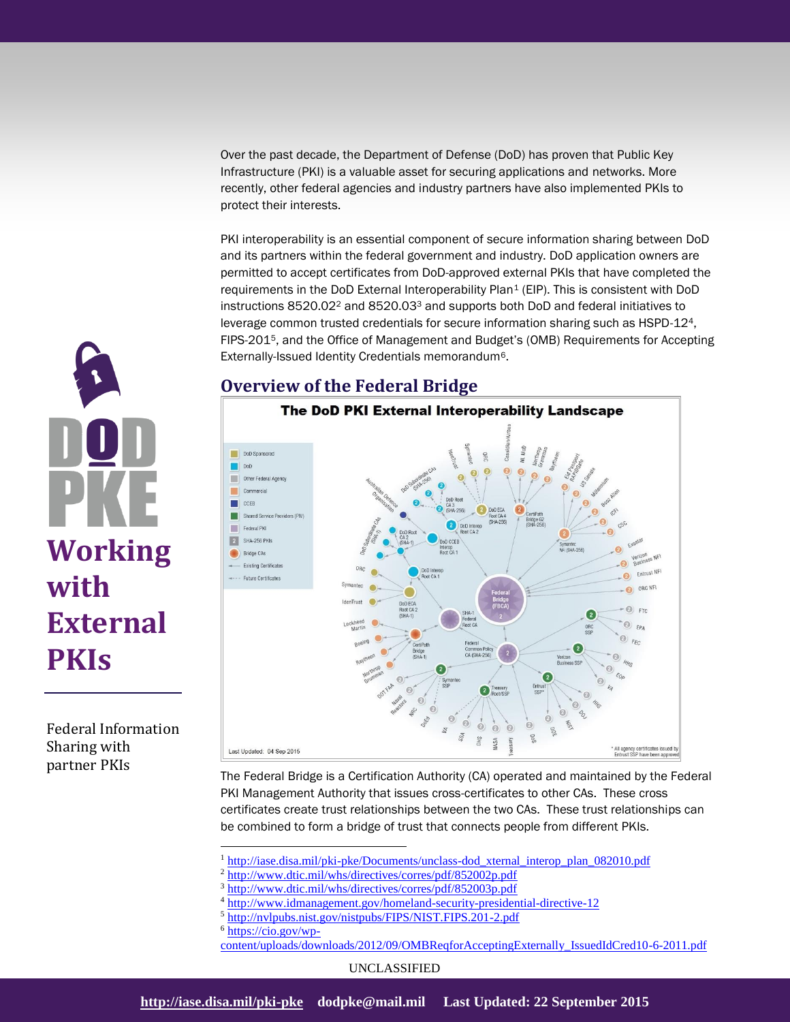Over the past decade, the Department of Defense (DoD) has proven that Public Key Infrastructure (PKI) is a valuable asset for securing applications and networks. More recently, other federal agencies and industry partners have also implemented PKIs to protect their interests.

PKI interoperability is an essential component of secure information sharing between DoD and its partners within the federal government and industry. DoD application owners are permitted to accept certificates from DoD-approved external PKIs that have completed the requirements in the DoD External Interoperability Plan<sup>1</sup> (EIP). This is consistent with DoD instructions  $8520.02^2$  and  $8520.03^3$  and supports both DoD and federal initiatives to leverage common trusted credentials for secure information sharing such as HSPD-124, FIPS-2015, and the Office of Management and Budget's (OMB) Requirements for Accepting Externally-Issued Identity Credentials memorandum6.

## **Overview of the Federal Bridge**



The Federal Bridge is a Certification Authority (CA) operated and maintained by the Federal PKI Management Authority that issues cross-certificates to other CAs. These cross certificates create trust relationships between the two CAs. These trust relationships can be combined to form a bridge of trust that connects people from different PKIs.

<sup>1</sup> [http://iase.disa.mil/pki-pke/Documents/unclass-dod\\_xternal\\_interop\\_plan\\_082010.pdf](http://iase.disa.mil/pki-pke/Documents/unclass-dod_xternal_interop_plan_082010.pdf)

<sup>2</sup> <http://www.dtic.mil/whs/directives/corres/pdf/852002p.pdf>

<sup>3</sup> <http://www.dtic.mil/whs/directives/corres/pdf/852003p.pdf>

<sup>4</sup> <http://www.idmanagement.gov/homeland-security-presidential-directive-12>

<sup>5</sup> <http://nvlpubs.nist.gov/nistpubs/FIPS/NIST.FIPS.201-2.pdf>

<sup>6</sup> [https://cio.gov/wp-](https://cio.gov/wp-content/uploads/downloads/2012/09/OMBReqforAcceptingExternally_IssuedIdCred10-6-2011.pdf)

 $\overline{a}$ 

[content/uploads/downloads/2012/09/OMBReqforAcceptingExternally\\_IssuedIdCred10-6-2011.pdf](https://cio.gov/wp-content/uploads/downloads/2012/09/OMBReqforAcceptingExternally_IssuedIdCred10-6-2011.pdf)

UNCLASSIFIED



Federal Information Sharing with partner PKIs